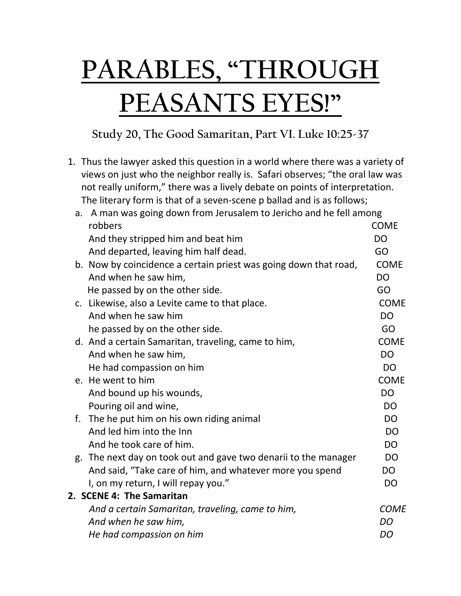## **PARABLES, "THROUGH PEASANTS EYES!"**

**Study 20, The Good Samaritan, Part VI. Luke 10:25-37**

| 1. Thus the lawyer asked this question in a world where there was a variety of                                 |
|----------------------------------------------------------------------------------------------------------------|
| views on just who the neighbor really is. Safari observes; "the oral law was                                   |
| not really uniform," there was a lively debate on points of interpretation.                                    |
| The literary form is that of a seven-scene p ballad and is as follows;                                         |
| restaurant des contrations des contrations de la contration de la contration de la contration de la contration |

|    | a. A man was going down from Jerusalem to Jericho and he fell among |                |  |
|----|---------------------------------------------------------------------|----------------|--|
|    | robbers                                                             | <b>COME</b>    |  |
|    | And they stripped him and beat him                                  | <b>DO</b>      |  |
|    | And departed, leaving him half dead.                                | GO             |  |
|    | b. Now by coincidence a certain priest was going down that road,    | <b>COME</b>    |  |
|    | And when he saw him,                                                | D <sub>O</sub> |  |
|    | He passed by on the other side.                                     | GO             |  |
|    | c. Likewise, also a Levite came to that place.                      | <b>COME</b>    |  |
|    | And when he saw him                                                 | <b>DO</b>      |  |
|    | he passed by on the other side.                                     | GO             |  |
|    | d. And a certain Samaritan, traveling, came to him,                 | <b>COME</b>    |  |
|    | And when he saw him,                                                | <b>DO</b>      |  |
|    | He had compassion on him                                            | D <sub>O</sub> |  |
|    | e. He went to him                                                   | <b>COME</b>    |  |
|    | And bound up his wounds,                                            | <b>DO</b>      |  |
|    | Pouring oil and wine,                                               | <b>DO</b>      |  |
| f. | The he put him on his own riding animal                             | <b>DO</b>      |  |
|    | And led him into the Inn                                            | <b>DO</b>      |  |
|    | And he took care of him.                                            | <b>DO</b>      |  |
|    | g. The next day on took out and gave two denarii to the manager     | <b>DO</b>      |  |
|    | And said, "Take care of him, and whatever more you spend            | <b>DO</b>      |  |
|    | I, on my return, I will repay you."                                 | <b>DO</b>      |  |
|    | 2. SCENE 4: The Samaritan                                           |                |  |
|    | And a certain Samaritan, traveling, came to him,                    | <b>COME</b>    |  |
|    | And when he saw him,                                                | DO             |  |
|    | He had compassion on him                                            | DO             |  |
|    |                                                                     |                |  |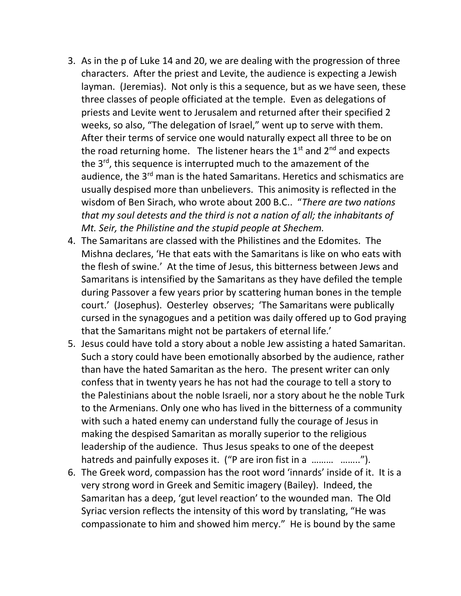- 3. As in the p of Luke 14 and 20, we are dealing with the progression of three characters. After the priest and Levite, the audience is expecting a Jewish layman. (Jeremias). Not only is this a sequence, but as we have seen, these three classes of people officiated at the temple. Even as delegations of priests and Levite went to Jerusalem and returned after their specified 2 weeks, so also, "The delegation of Israel," went up to serve with them. After their terms of service one would naturally expect all three to be on the road returning home. The listener hears the  $1<sup>st</sup>$  and  $2<sup>nd</sup>$  and expects the 3<sup>rd</sup>, this sequence is interrupted much to the amazement of the audience, the 3<sup>rd</sup> man is the hated Samaritans. Heretics and schismatics are usually despised more than unbelievers. This animosity is reflected in the wisdom of Ben Sirach, who wrote about 200 B.C.. "*There are two nations that my soul detests and the third is not a nation of all; the inhabitants of Mt. Seir, the Philistine and the stupid people at Shechem.*
- 4. The Samaritans are classed with the Philistines and the Edomites. The Mishna declares, 'He that eats with the Samaritans is like on who eats with the flesh of swine.' At the time of Jesus, this bitterness between Jews and Samaritans is intensified by the Samaritans as they have defiled the temple during Passover a few years prior by scattering human bones in the temple court.' (Josephus). Oesterley observes; 'The Samaritans were publically cursed in the synagogues and a petition was daily offered up to God praying that the Samaritans might not be partakers of eternal life.'
- 5. Jesus could have told a story about a noble Jew assisting a hated Samaritan. Such a story could have been emotionally absorbed by the audience, rather than have the hated Samaritan as the hero. The present writer can only confess that in twenty years he has not had the courage to tell a story to the Palestinians about the noble Israeli, nor a story about he the noble Turk to the Armenians. Only one who has lived in the bitterness of a community with such a hated enemy can understand fully the courage of Jesus in making the despised Samaritan as morally superior to the religious leadership of the audience. Thus Jesus speaks to one of the deepest hatreds and painfully exposes it. ("P are iron fist in a ......... ........").
- 6. The Greek word, compassion has the root word 'innards' inside of it. It is a very strong word in Greek and Semitic imagery (Bailey). Indeed, the Samaritan has a deep, 'gut level reaction' to the wounded man. The Old Syriac version reflects the intensity of this word by translating, "He was compassionate to him and showed him mercy." He is bound by the same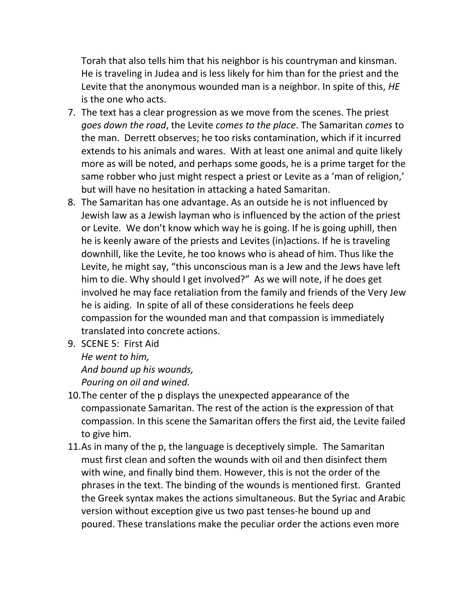Torah that also tells him that his neighbor is his countryman and kinsman. He is traveling in Judea and is less likely for him than for the priest and the Levite that the anonymous wounded man is a neighbor. In spite of this, *HE*  is the one who acts.

- 7. The text has a clear progression as we move from the scenes. The priest *goes down the road*, the Levite *comes to the place*. The Samaritan *comes* to the man. Derrett observes; he too risks contamination, which if it incurred extends to his animals and wares. With at least one animal and quite likely more as will be noted, and perhaps some goods, he is a prime target for the same robber who just might respect a priest or Levite as a 'man of religion,' but will have no hesitation in attacking a hated Samaritan.
- 8. The Samaritan has one advantage. As an outside he is not influenced by Jewish law as a Jewish layman who is influenced by the action of the priest or Levite. We don't know which way he is going. If he is going uphill, then he is keenly aware of the priests and Levites (in)actions. If he is traveling downhill, like the Levite, he too knows who is ahead of him. Thus like the Levite, he might say, "this unconscious man is a Jew and the Jews have left him to die. Why should I get involved?" As we will note, if he does get involved he may face retaliation from the family and friends of the Very Jew he is aiding. In spite of all of these considerations he feels deep compassion for the wounded man and that compassion is immediately translated into concrete actions.
- 9. SCENE 5: First Aid *He went to him,*

*And bound up his wounds, Pouring on oil and wined.* 

- 10.The center of the p displays the unexpected appearance of the compassionate Samaritan. The rest of the action is the expression of that compassion. In this scene the Samaritan offers the first aid, the Levite failed to give him.
- 11.As in many of the p, the language is deceptively simple. The Samaritan must first clean and soften the wounds with oil and then disinfect them with wine, and finally bind them. However, this is not the order of the phrases in the text. The binding of the wounds is mentioned first. Granted the Greek syntax makes the actions simultaneous. But the Syriac and Arabic version without exception give us two past tenses-he bound up and poured. These translations make the peculiar order the actions even more